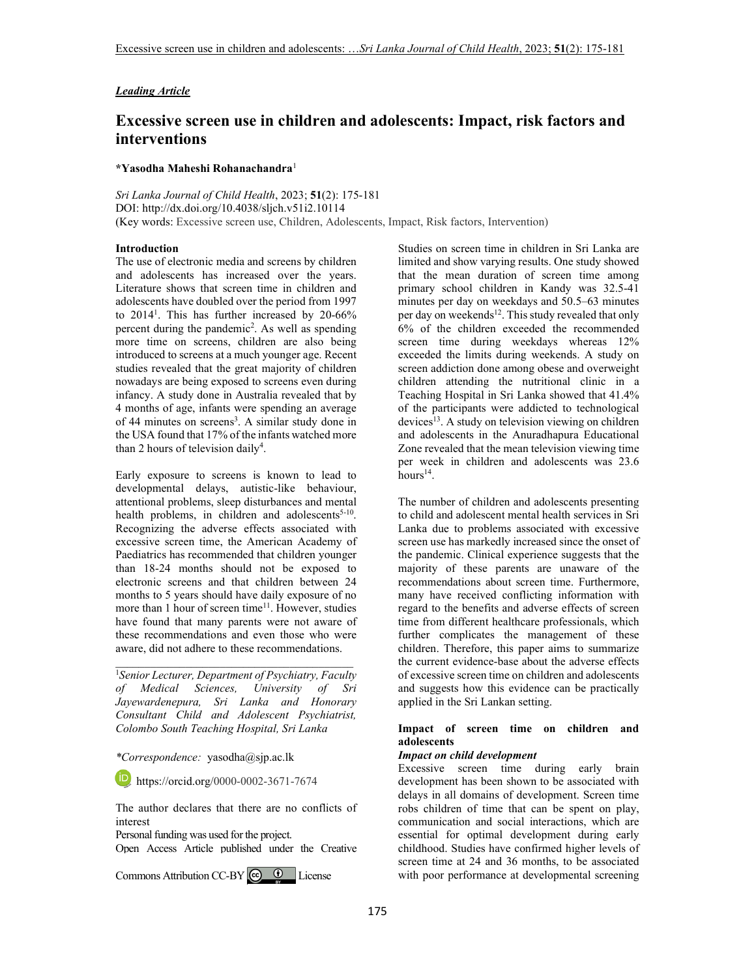## *Leading Article*

# **Excessive screen use in children and adolescents: Impact, risk factors and interventions**

#### **\*Yasodha Maheshi Rohanachandra**<sup>1</sup>

*Sri Lanka Journal of Child Health*, 2023; **51**(2): 175-181 DOI: http://dx.doi.org/10.4038/sljch.v51i2.10114 (Key words: Excessive screen use, Children, Adolescents, Impact, Risk factors, Intervention)

#### **Introduction**

The use of electronic media and screens by children and adolescents has increased over the years. Literature shows that screen time in children and adolescents have doubled over the period from 1997 to 2014<sup>1</sup>. This has further increased by 20-66% percent during the pandemic<sup>2</sup>. As well as spending more time on screens, children are also being introduced to screens at a much younger age. Recent studies revealed that the great majority of children nowadays are being exposed to screens even during infancy. A study done in Australia revealed that by 4 months of age, infants were spending an average of 44 minutes on screens<sup>3</sup>. A similar study done in the USA found that 17% of the infants watched more than 2 hours of television daily<sup>4</sup>.

Early exposure to screens is known to lead to developmental delays, autistic-like behaviour, attentional problems, sleep disturbances and mental health problems, in children and adolescents<sup>5-10</sup>. Recognizing the adverse effects associated with excessive screen time, the American Academy of Paediatrics has recommended that children younger than 18-24 months should not be exposed to electronic screens and that children between 24 months to 5 years should have daily exposure of no more than 1 hour of screen time<sup>11</sup>. However, studies have found that many parents were not aware of these recommendations and even those who were aware, did not adhere to these recommendations.

<sup>1</sup>*Senior Lecturer, Department of Psychiatry, Faculty of Medical Sciences, University of Sri Jayewardenepura, Sri Lanka and Honorary Consultant Child and Adolescent Psychiatrist, Colombo South Teaching Hospital, Sri Lanka* 

\_\_\_\_\_\_\_\_\_\_\_\_\_\_\_\_\_\_\_\_\_\_\_\_\_\_\_\_\_\_\_\_\_\_\_\_\_\_\_\_\_

*\*Correspondence:* yasodha@sjp.ac.lk

**b** https://orcid.org/0000-0002-3671-7674

The author declares that there are no conflicts of interest

Personal funding was used for the project.

Open Access Article published under the Creative

CommonsAttribution CC-BY  $\bigcirc$   $\bigcirc$  License

Studies on screen time in children in Sri Lanka are limited and show varying results. One study showed that the mean duration of screen time among primary school children in Kandy was 32.5-41 minutes per day on weekdays and 50.5–63 minutes per day on weekends<sup>12</sup>. This study revealed that only 6% of the children exceeded the recommended screen time during weekdays whereas 12% exceeded the limits during weekends. A study on screen addiction done among obese and overweight children attending the nutritional clinic in a Teaching Hospital in Sri Lanka showed that 41.4% of the participants were addicted to technological devices<sup>13</sup>. A study on television viewing on children and adolescents in the Anuradhapura Educational Zone revealed that the mean television viewing time per week in children and adolescents was 23.6  $hours^{14}$ .

The number of children and adolescents presenting to child and adolescent mental health services in Sri Lanka due to problems associated with excessive screen use has markedly increased since the onset of the pandemic. Clinical experience suggests that the majority of these parents are unaware of the recommendations about screen time. Furthermore, many have received conflicting information with regard to the benefits and adverse effects of screen time from different healthcare professionals, which further complicates the management of these children. Therefore, this paper aims to summarize the current evidence-base about the adverse effects of excessive screen time on children and adolescents and suggests how this evidence can be practically applied in the Sri Lankan setting.

## **Impact of screen time on children and adolescents**

#### *Impact on child development*

Excessive screen time during early brain development has been shown to be associated with delays in all domains of development. Screen time robs children of time that can be spent on play, communication and social interactions, which are essential for optimal development during early childhood. Studies have confirmed higher levels of screen time at 24 and 36 months, to be associated with poor performance at developmental screening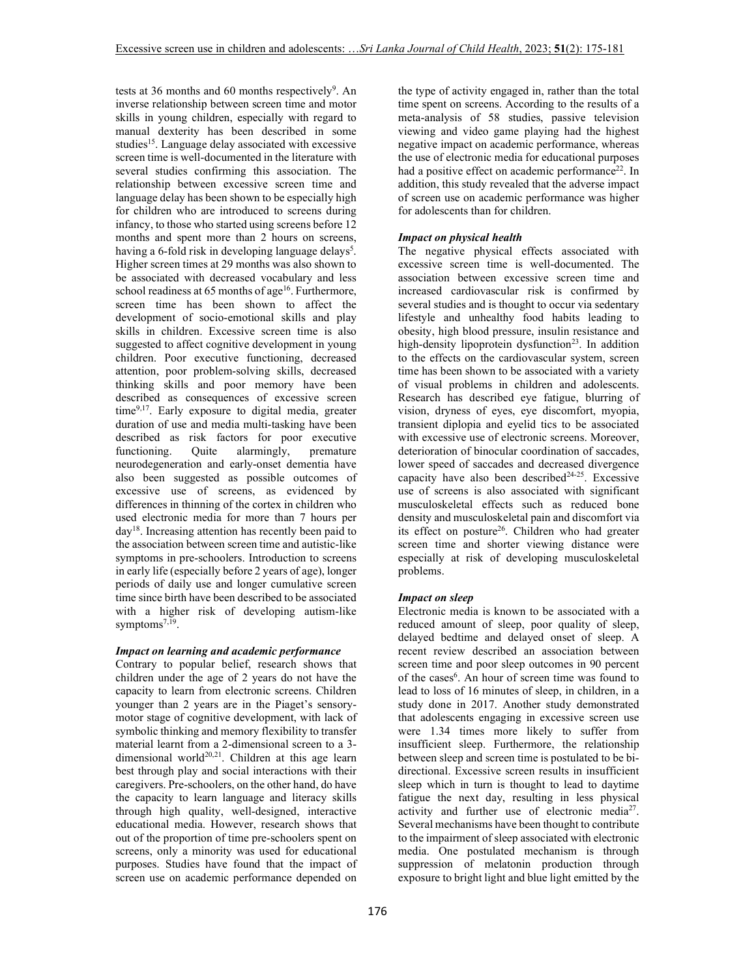tests at 36 months and 60 months respectively<sup>9</sup>. An inverse relationship between screen time and motor skills in young children, especially with regard to manual dexterity has been described in some studies<sup>15</sup>. Language delay associated with excessive screen time is well-documented in the literature with several studies confirming this association. The relationship between excessive screen time and language delay has been shown to be especially high for children who are introduced to screens during infancy, to those who started using screens before 12 months and spent more than 2 hours on screens, having a 6-fold risk in developing language delays<sup>5</sup>. Higher screen times at 29 months was also shown to be associated with decreased vocabulary and less school readiness at 65 months of age<sup>16</sup>. Furthermore, screen time has been shown to affect the development of socio-emotional skills and play skills in children. Excessive screen time is also suggested to affect cognitive development in young children. Poor executive functioning, decreased attention, poor problem-solving skills, decreased thinking skills and poor memory have been described as consequences of excessive screen time<sup>9,17</sup>. Early exposure to digital media, greater duration of use and media multi-tasking have been described as risk factors for poor executive<br>functioning. Quite alarmingly, premature functioning. Quite alarmingly, premature neurodegeneration and early-onset dementia have also been suggested as possible outcomes of excessive use of screens, as evidenced by differences in thinning of the cortex in children who used electronic media for more than 7 hours per day<sup>18</sup>. Increasing attention has recently been paid to the association between screen time and autistic-like symptoms in pre-schoolers. Introduction to screens in early life (especially before 2 years of age), longer periods of daily use and longer cumulative screen time since birth have been described to be associated with a higher risk of developing autism-like symptoms<sup>7,19</sup>.

## *Impact on learning and academic performance*

Contrary to popular belief, research shows that children under the age of 2 years do not have the capacity to learn from electronic screens. Children younger than 2 years are in the Piaget's sensorymotor stage of cognitive development, with lack of symbolic thinking and memory flexibility to transfer material learnt from a 2-dimensional screen to a 3 dimensional world<sup>20,21</sup>. Children at this age learn best through play and social interactions with their caregivers. Pre-schoolers, on the other hand, do have the capacity to learn language and literacy skills through high quality, well-designed, interactive educational media. However, research shows that out of the proportion of time pre-schoolers spent on screens, only a minority was used for educational purposes. Studies have found that the impact of screen use on academic performance depended on the type of activity engaged in, rather than the total time spent on screens. According to the results of a meta-analysis of 58 studies, passive television viewing and video game playing had the highest negative impact on academic performance, whereas the use of electronic media for educational purposes had a positive effect on academic performance<sup>22</sup>. In addition, this study revealed that the adverse impact of screen use on academic performance was higher for adolescents than for children.

## *Impact on physical health*

The negative physical effects associated with excessive screen time is well-documented. The association between excessive screen time and increased cardiovascular risk is confirmed by several studies and is thought to occur via sedentary lifestyle and unhealthy food habits leading to obesity, high blood pressure, insulin resistance and high-density lipoprotein dysfunction<sup>23</sup>. In addition to the effects on the cardiovascular system, screen time has been shown to be associated with a variety of visual problems in children and adolescents. Research has described eye fatigue, blurring of vision, dryness of eyes, eye discomfort, myopia, transient diplopia and eyelid tics to be associated with excessive use of electronic screens. Moreover, deterioration of binocular coordination of saccades, lower speed of saccades and decreased divergence capacity have also been described $24-25$ . Excessive use of screens is also associated with significant musculoskeletal effects such as reduced bone density and musculoskeletal pain and discomfort via its effect on posture<sup>26</sup>. Children who had greater screen time and shorter viewing distance were especially at risk of developing musculoskeletal problems.

## *Impact on sleep*

Electronic media is known to be associated with a reduced amount of sleep, poor quality of sleep, delayed bedtime and delayed onset of sleep. A recent review described an association between screen time and poor sleep outcomes in 90 percent of the cases<sup>6</sup>. An hour of screen time was found to lead to loss of 16 minutes of sleep, in children, in a study done in 2017. Another study demonstrated that adolescents engaging in excessive screen use were 1.34 times more likely to suffer from insufficient sleep. Furthermore, the relationship between sleep and screen time is postulated to be bidirectional. Excessive screen results in insufficient sleep which in turn is thought to lead to daytime fatigue the next day, resulting in less physical activity and further use of electronic media<sup>27</sup>. Several mechanisms have been thought to contribute to the impairment of sleep associated with electronic media. One postulated mechanism is through suppression of melatonin production through exposure to bright light and blue light emitted by the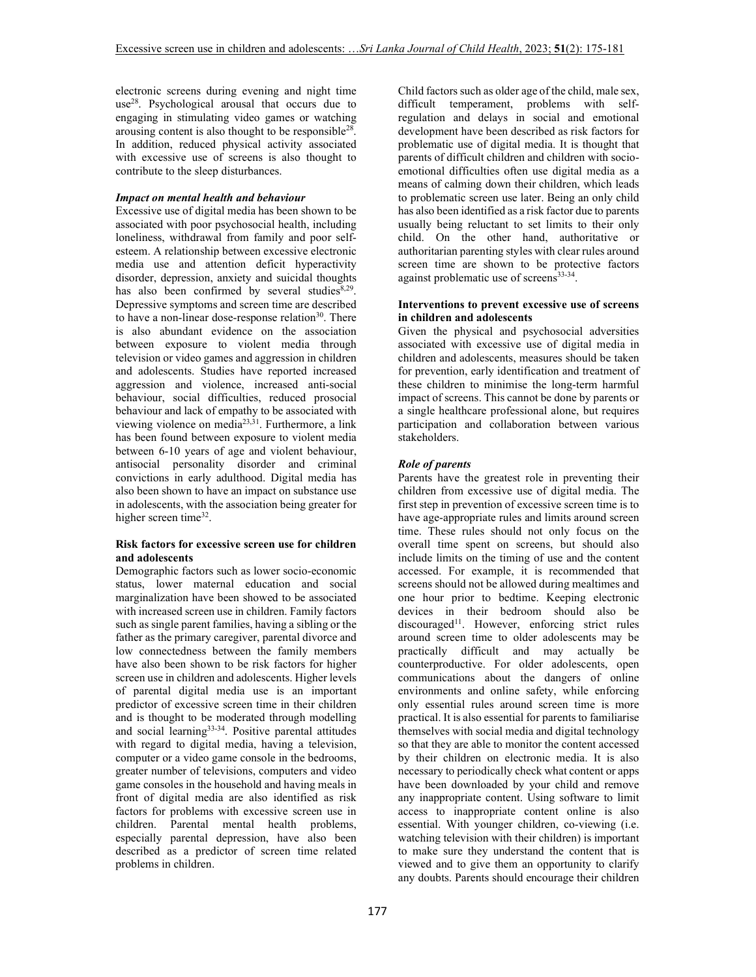electronic screens during evening and night time use<sup>28</sup>. Psychological arousal that occurs due to engaging in stimulating video games or watching arousing content is also thought to be responsible<sup>28</sup>. In addition, reduced physical activity associated with excessive use of screens is also thought to contribute to the sleep disturbances.

## *Impact on mental health and behaviour*

Excessive use of digital media has been shown to be associated with poor psychosocial health, including loneliness, withdrawal from family and poor selfesteem. A relationship between excessive electronic media use and attention deficit hyperactivity disorder, depression, anxiety and suicidal thoughts has also been confirmed by several studies<sup>8,29</sup>. Depressive symptoms and screen time are described to have a non-linear dose-response relation $30$ . There is also abundant evidence on the association between exposure to violent media through television or video games and aggression in children and adolescents. Studies have reported increased aggression and violence, increased anti-social behaviour, social difficulties, reduced prosocial behaviour and lack of empathy to be associated with viewing violence on media<sup>23,31</sup>. Furthermore, a link has been found between exposure to violent media between 6-10 years of age and violent behaviour, antisocial personality disorder and criminal convictions in early adulthood. Digital media has also been shown to have an impact on substance use in adolescents, with the association being greater for higher screen time<sup>32</sup>.

## **Risk factors for excessive screen use for children and adolescents**

Demographic factors such as lower socio-economic status, lower maternal education and social marginalization have been showed to be associated with increased screen use in children. Family factors such as single parent families, having a sibling or the father as the primary caregiver, parental divorce and low connectedness between the family members have also been shown to be risk factors for higher screen use in children and adolescents. Higher levels of parental digital media use is an important predictor of excessive screen time in their children and is thought to be moderated through modelling and social learning<sup>33-34</sup>. Positive parental attitudes with regard to digital media, having a television, computer or a video game console in the bedrooms, greater number of televisions, computers and video game consoles in the household and having meals in front of digital media are also identified as risk factors for problems with excessive screen use in children. Parental mental health problems, especially parental depression, have also been described as a predictor of screen time related problems in children.

Child factors such as older age of the child, male sex, difficult temperament, problems with selfregulation and delays in social and emotional development have been described as risk factors for problematic use of digital media. It is thought that parents of difficult children and children with socioemotional difficulties often use digital media as a means of calming down their children, which leads to problematic screen use later. Being an only child has also been identified as a risk factor due to parents usually being reluctant to set limits to their only child. On the other hand, authoritative or authoritarian parenting styles with clear rules around screen time are shown to be protective factors against problematic use of screens<sup>33-34</sup>.

## **Interventions to prevent excessive use of screens in children and adolescents**

Given the physical and psychosocial adversities associated with excessive use of digital media in children and adolescents, measures should be taken for prevention, early identification and treatment of these children to minimise the long-term harmful impact of screens. This cannot be done by parents or a single healthcare professional alone, but requires participation and collaboration between various stakeholders.

## *Role of parents*

Parents have the greatest role in preventing their children from excessive use of digital media. The first step in prevention of excessive screen time is to have age-appropriate rules and limits around screen time. These rules should not only focus on the overall time spent on screens, but should also include limits on the timing of use and the content accessed. For example, it is recommended that screens should not be allowed during mealtimes and one hour prior to bedtime. Keeping electronic devices in their bedroom should also be discouraged<sup>11</sup>. However, enforcing strict rules around screen time to older adolescents may be practically difficult and may actually be counterproductive. For older adolescents, open communications about the dangers of online environments and online safety, while enforcing only essential rules around screen time is more practical. It is also essential for parents to familiarise themselves with social media and digital technology so that they are able to monitor the content accessed by their children on electronic media. It is also necessary to periodically check what content or apps have been downloaded by your child and remove any inappropriate content. Using software to limit access to inappropriate content online is also essential. With younger children, co-viewing (i.e. watching television with their children) is important to make sure they understand the content that is viewed and to give them an opportunity to clarify any doubts. Parents should encourage their children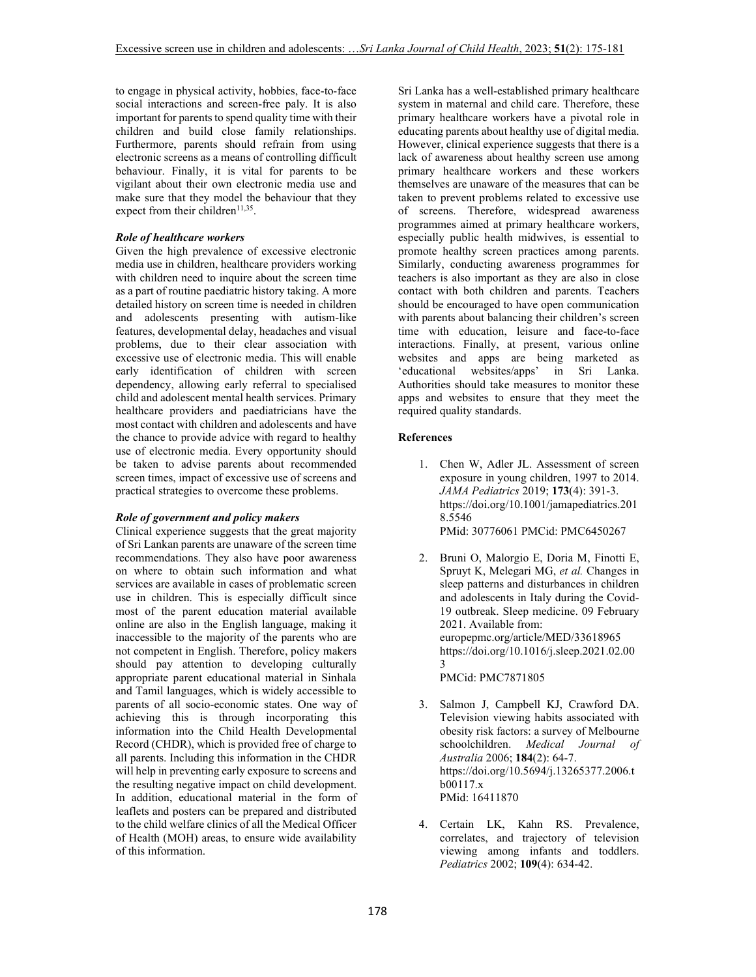to engage in physical activity, hobbies, face-to-face social interactions and screen-free paly. It is also important for parents to spend quality time with their children and build close family relationships. Furthermore, parents should refrain from using electronic screens as a means of controlling difficult behaviour. Finally, it is vital for parents to be vigilant about their own electronic media use and make sure that they model the behaviour that they expect from their children<sup> $11,35$ </sup>.

#### *Role of healthcare workers*

Given the high prevalence of excessive electronic media use in children, healthcare providers working with children need to inquire about the screen time as a part of routine paediatric history taking. A more detailed history on screen time is needed in children and adolescents presenting with autism-like features, developmental delay, headaches and visual problems, due to their clear association with excessive use of electronic media. This will enable early identification of children with screen dependency, allowing early referral to specialised child and adolescent mental health services. Primary healthcare providers and paediatricians have the most contact with children and adolescents and have the chance to provide advice with regard to healthy use of electronic media. Every opportunity should be taken to advise parents about recommended screen times, impact of excessive use of screens and practical strategies to overcome these problems.

#### *Role of government and policy makers*

Clinical experience suggests that the great majority of Sri Lankan parents are unaware of the screen time recommendations. They also have poor awareness on where to obtain such information and what services are available in cases of problematic screen use in children. This is especially difficult since most of the parent education material available online are also in the English language, making it inaccessible to the majority of the parents who are not competent in English. Therefore, policy makers should pay attention to developing culturally appropriate parent educational material in Sinhala and Tamil languages, which is widely accessible to parents of all socio-economic states. One way of achieving this is through incorporating this information into the Child Health Developmental Record (CHDR), which is provided free of charge to all parents. Including this information in the CHDR will help in preventing early exposure to screens and the resulting negative impact on child development. In addition, educational material in the form of leaflets and posters can be prepared and distributed to the child welfare clinics of all the Medical Officer of Health (MOH) areas, to ensure wide availability of this information.

Sri Lanka has a well-established primary healthcare system in maternal and child care. Therefore, these primary healthcare workers have a pivotal role in educating parents about healthy use of digital media. However, clinical experience suggests that there is a lack of awareness about healthy screen use among primary healthcare workers and these workers themselves are unaware of the measures that can be taken to prevent problems related to excessive use of screens. Therefore, widespread awareness programmes aimed at primary healthcare workers, especially public health midwives, is essential to promote healthy screen practices among parents. Similarly, conducting awareness programmes for teachers is also important as they are also in close contact with both children and parents. Teachers should be encouraged to have open communication with parents about balancing their children's screen time with education, leisure and face-to-face interactions. Finally, at present, various online websites and apps are being marketed as 'educational websites/apps' in Sri Lanka. Authorities should take measures to monitor these apps and websites to ensure that they meet the required quality standards.

#### **References**

- 1. Chen W, Adler JL. Assessment of screen exposure in young children, 1997 to 2014. *JAMA Pediatrics* 2019; **173**(4): 391-3. https://doi.org/10.1001/jamapediatrics.201 8.5546 PMid: 30776061 PMCid: PMC6450267
- 2. Bruni O, Malorgio E, Doria M, Finotti E, Spruyt K, Melegari MG, *et al.* Changes in sleep patterns and disturbances in children and adolescents in Italy during the Covid-19 outbreak. Sleep medicine. 09 February 2021. Available from: europepmc.org/article/MED/33618965 https://doi.org/10.1016/j.sleep.2021.02.00 3 PMCid: PMC7871805

- 3. Salmon J, Campbell KJ, Crawford DA. Television viewing habits associated with obesity risk factors: a survey of Melbourne schoolchildren. *Medical Journal of Australia* 2006; **184**(2): 64-7. https://doi.org/10.5694/j.13265377.2006.t b00117.x PMid: 16411870
- 4. Certain LK, Kahn RS. Prevalence, correlates, and trajectory of television viewing among infants and toddlers. *Pediatrics* 2002; **109**(4): 634-42.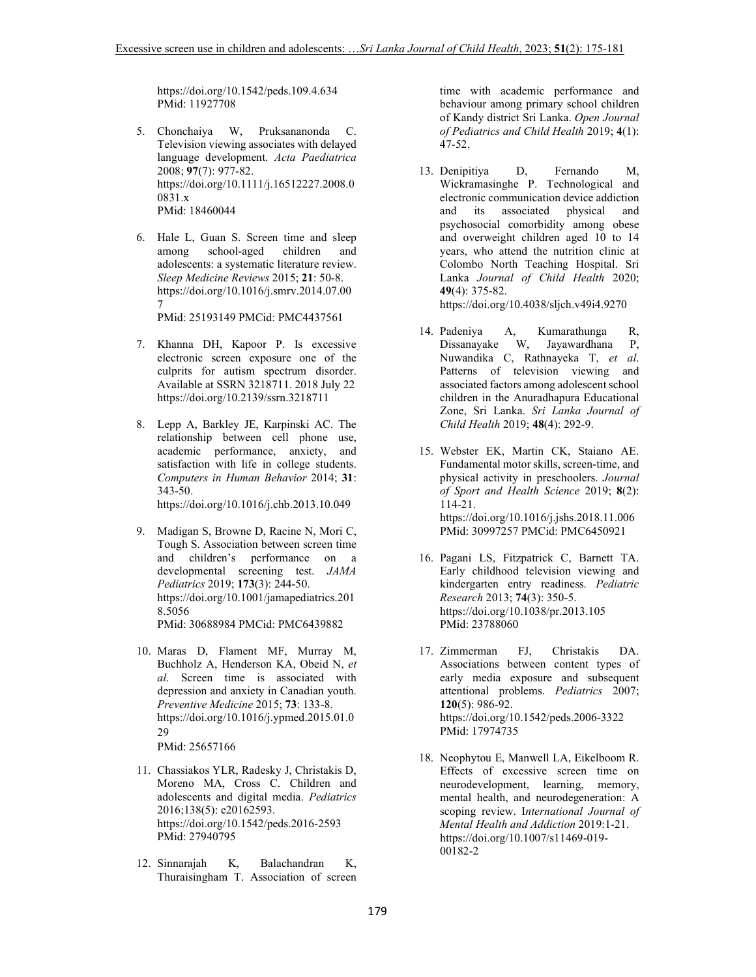https://doi.org/10.1542/peds.109.4.634 PMid: 11927708

- 5. Chonchaiya W, Pruksananonda C. Television viewing associates with delayed language development. *Acta Paediatrica* 2008; **97**(7): 977-82. https://doi.org/10.1111/j.16512227.2008.0 0831.x PMid: 18460044
- 6. Hale L, Guan S. Screen time and sleep among school-aged children and adolescents: a systematic literature review. *Sleep Medicine Reviews* 2015; **21**: 50-8. https://doi.org/10.1016/j.smrv.2014.07.00 7 PMid: 25193149 PMCid: PMC4437561
- 7. Khanna DH, Kapoor P. Is excessive electronic screen exposure one of the culprits for autism spectrum disorder. Available at SSRN 3218711. 2018 July 22 https://doi.org/10.2139/ssrn.3218711
- 8. Lepp A, Barkley JE, Karpinski AC. The relationship between cell phone use, academic performance, anxiety, and satisfaction with life in college students. *Computers in Human Behavior* 2014; **31**: 343-50. https://doi.org/10.1016/j.chb.2013.10.049
- 9. Madigan S, Browne D, Racine N, Mori C, Tough S. Association between screen time and children's performance on a developmental screening test. *JAMA Pediatrics* 2019; **173**(3): 244-50. https://doi.org/10.1001/jamapediatrics.201 8.5056 PMid: 30688984 PMCid: PMC6439882
- 10. Maras D, Flament MF, Murray M, Buchholz A, Henderson KA, Obeid N, *et al*. Screen time is associated with depression and anxiety in Canadian youth. *Preventive Medicine* 2015; **73**: 133-8. https://doi.org/10.1016/j.ypmed.2015.01.0 29 PMid: 25657166
- 11. Chassiakos YLR, Radesky J, Christakis D, Moreno MA, Cross C. Children and adolescents and digital media. *Pediatrics*  2016;138(5): e20162593. https://doi.org/10.1542/peds.2016-2593 PMid: 27940795
- 12. Sinnarajah K, Balachandran K, Thuraisingham T. Association of screen

time with academic performance and behaviour among primary school children of Kandy district Sri Lanka. *Open Journal of Pediatrics and Child Health* 2019; **4**(1): 47-52.

13. Denipitiya D, Fernando M, Wickramasinghe P. Technological and electronic communication device addiction<br>and its associated physical and and its associated physical and psychosocial comorbidity among obese and overweight children aged 10 to 14 years, who attend the nutrition clinic at Colombo North Teaching Hospital. Sri Lanka *Journal of Child Health* 2020; **49**(4): 375-82.

https://doi.org/10.4038/sljch.v49i4.9270

- 14. Padeniya A, Kumarathunga R, Dissanayake W, Jayawardhana P, Nuwandika C, Rathnayeka T, *et al*. Patterns of television viewing and associated factors among adolescent school children in the Anuradhapura Educational Zone, Sri Lanka. *Sri Lanka Journal of Child Health* 2019; **48**(4): 292-9.
- 15. Webster EK, Martin CK, Staiano AE. Fundamental motor skills, screen-time, and physical activity in preschoolers. *Journal of Sport and Health Science* 2019; **8**(2): 114-21. https://doi.org/10.1016/j.jshs.2018.11.006 PMid: 30997257 PMCid: PMC6450921
- 16. Pagani LS, Fitzpatrick C, Barnett TA. Early childhood television viewing and kindergarten entry readiness. *Pediatric Research* 2013; **74**(3): 350-5. https://doi.org/10.1038/pr.2013.105 PMid: 23788060
- 17. Zimmerman FJ, Christakis DA. Associations between content types of early media exposure and subsequent attentional problems. *Pediatrics* 2007; **120**(5): 986-92. https://doi.org/10.1542/peds.2006-3322 PMid: 17974735
- 18. Neophytou E, Manwell LA, Eikelboom R. Effects of excessive screen time on neurodevelopment, learning, memory, mental health, and neurodegeneration: A scoping review. I*nternational Journal of Mental Health and Addiction* 2019:1-21. https://doi.org/10.1007/s11469-019- 00182-2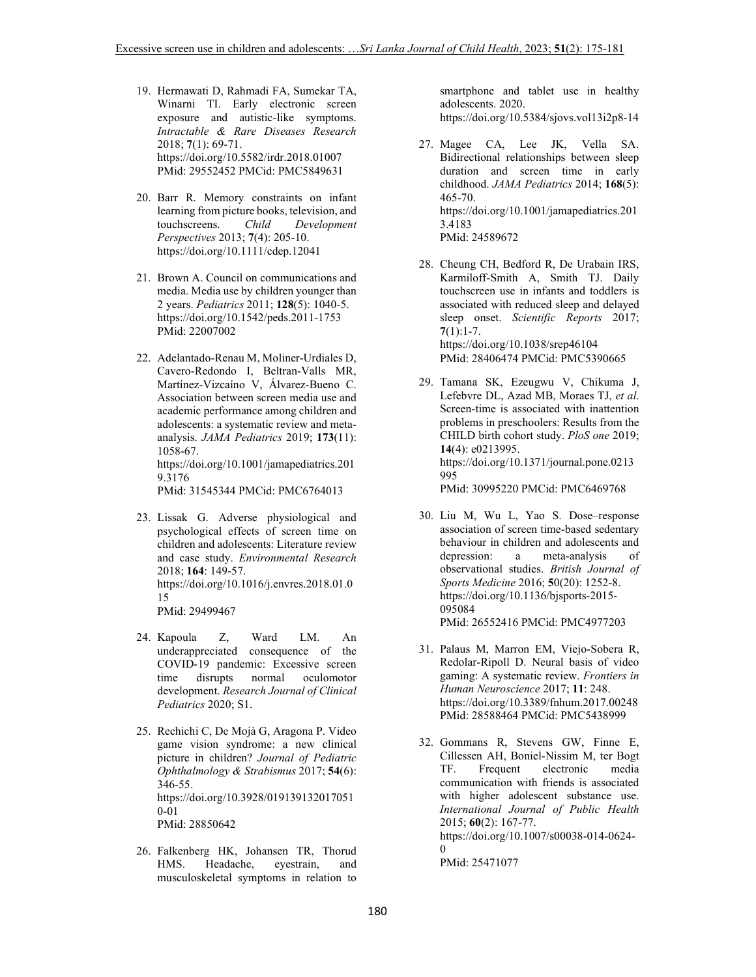- 19. Hermawati D, Rahmadi FA, Sumekar TA, Winarni TI. Early electronic screen exposure and autistic-like symptoms. *Intractable & Rare Diseases Research*  2018; **7**(1): 69-71. https://doi.org/10.5582/irdr.2018.01007 PMid: 29552452 PMCid: PMC5849631
- 20. Barr R. Memory constraints on infant learning from picture books, television, and touchscreens. *Child Development Perspectives* 2013; **7**(4): 205-10. https://doi.org/10.1111/cdep.12041
- 21. Brown A. Council on communications and media. Media use by children younger than 2 years. *Pediatrics* 2011; **128**(5): 1040-5. https://doi.org/10.1542/peds.2011-1753 PMid: 22007002
- 22. Adelantado-Renau M, Moliner-Urdiales D, Cavero-Redondo I, Beltran-Valls MR, Martínez-Vizcaíno V, Álvarez-Bueno C. Association between screen media use and academic performance among children and adolescents: a systematic review and metaanalysis. *JAMA Pediatrics* 2019; **173**(11): 1058-67. https://doi.org/10.1001/jamapediatrics.201 9.3176 PMid: 31545344 PMCid: PMC6764013

- 23. Lissak G. Adverse physiological and psychological effects of screen time on children and adolescents: Literature review and case study. *Environmental Research*  2018; **164**: 149-57. https://doi.org/10.1016/j.envres.2018.01.0 15 PMid: 29499467
- 24. Kapoula Z, Ward LM. An underappreciated consequence of the COVID-19 pandemic: Excessive screen time disrupts normal oculomotor development. *Research Journal of Clinical Pediatrics* 2020; S1.
- 25. Rechichi C, De Mojà G, Aragona P. Video game vision syndrome: a new clinical picture in children? *Journal of Pediatric Ophthalmology & Strabismus* 2017; **54**(6): 346-55. https://doi.org/10.3928/019139132017051 0-01 PMid: 28850642
- 26. Falkenberg HK, Johansen TR, Thorud HMS. Headache, eyestrain, and musculoskeletal symptoms in relation to

smartphone and tablet use in healthy adolescents. 2020. https://doi.org/10.5384/sjovs.vol13i2p8-14

- 27. Magee CA, Lee JK, Vella SA. Bidirectional relationships between sleep duration and screen time in early childhood. *JAMA Pediatrics* 2014; **168**(5): 465-70. https://doi.org/10.1001/jamapediatrics.201 3.4183 PMid: 24589672
- 28. Cheung CH, Bedford R, De Urabain IRS, Karmiloff-Smith A, Smith TJ. Daily touchscreen use in infants and toddlers is associated with reduced sleep and delayed sleep onset. *Scientific Reports* 2017; **7**(1):1-7. https://doi.org/10.1038/srep46104 PMid: 28406474 PMCid: PMC5390665
- 29. Tamana SK, Ezeugwu V, Chikuma J, Lefebvre DL, Azad MB, Moraes TJ, *et al*. Screen-time is associated with inattention problems in preschoolers: Results from the CHILD birth cohort study. *PloS one* 2019; **14**(4): e0213995. https://doi.org/10.1371/journal.pone.0213 995 PMid: 30995220 PMCid: PMC6469768
- 30. Liu M, Wu L, Yao S. Dose–response association of screen time-based sedentary behaviour in children and adolescents and depression: a meta-analysis of observational studies. *British Journal of Sports Medicine* 2016; **5**0(20): 1252-8. https://doi.org/10.1136/bjsports-2015- 095084 PMid: 26552416 PMCid: PMC4977203
- 31. Palaus M, Marron EM, Viejo-Sobera R, Redolar-Ripoll D. Neural basis of video gaming: A systematic review. *Frontiers in Human Neuroscience* 2017; **11**: 248. https://doi.org/10.3389/fnhum.2017.00248 PMid: 28588464 PMCid: PMC5438999
- 32. Gommans R, Stevens GW, Finne E, Cillessen AH, Boniel-Nissim M, ter Bogt TF. Frequent electronic media communication with friends is associated with higher adolescent substance use. *International Journal of Public Health* 2015; **60**(2): 167-77. https://doi.org/10.1007/s00038-014-0624-  $\Omega$ PMid: 25471077